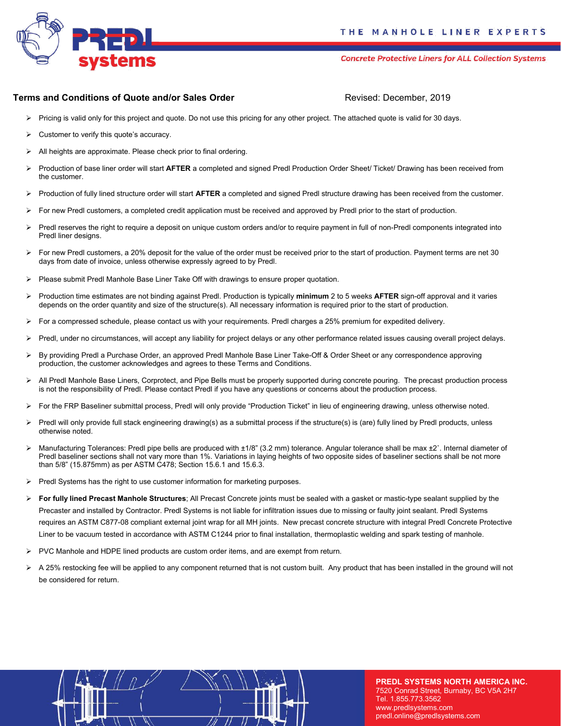

**Concrete Protective Liners for ALL Collection Systems** 

## **Terms and Conditions of Quote and/or Sales Order Manual According Revised: December, 2019**

- $\triangleright$  Pricing is valid only for this project and quote. Do not use this pricing for any other project. The attached quote is valid for 30 days.
- $\triangleright$  Customer to verify this quote's accuracy.
- ➢ All heights are approximate. Please check prior to final ordering.
- ➢ Production of base liner order will start **AFTER** a completed and signed Predl Production Order Sheet/ Ticket/ Drawing has been received from the customer.
- ➢ Production of fully lined structure order will start **AFTER** a completed and signed Predl structure drawing has been received from the customer.
- ➢ For new Predl customers, a completed credit application must be received and approved by Predl prior to the start of production.
- ➢ Predl reserves the right to require a deposit on unique custom orders and/or to require payment in full of non-Predl components integrated into Predl liner designs.
- ➢ For new Predl customers, a 20% deposit for the value of the order must be received prior to the start of production. Payment terms are net 30 days from date of invoice, unless otherwise expressly agreed to by Predl.
- ➢ Please submit Predl Manhole Base Liner Take Off with drawings to ensure proper quotation.
- ➢ Production time estimates are not binding against Predl. Production is typically **minimum** 2 to 5 weeks **AFTER** sign-off approval and it varies depends on the order quantity and size of the structure(s). All necessary information is required prior to the start of production.
- ➢ For a compressed schedule, please contact us with your requirements. Predl charges a 25% premium for expedited delivery.
- ➢ Predl, under no circumstances, will accept any liability for project delays or any other performance related issues causing overall project delays.
- ➢ By providing Predl a Purchase Order, an approved Predl Manhole Base Liner Take-Off & Order Sheet or any correspondence approving production, the customer acknowledges and agrees to these Terms and Conditions.
- ➢ All Predl Manhole Base Liners, Corprotect, and Pipe Bells must be properly supported during concrete pouring. The precast production process is not the responsibility of Predl. Please contact Predl if you have any questions or concerns about the production process.
- ➢ For the FRP Baseliner submittal process, Predl will only provide "Production Ticket" in lieu of engineering drawing, unless otherwise noted.
- ➢ Predl will only provide full stack engineering drawing(s) as a submittal process if the structure(s) is (are) fully lined by Predl products, unless otherwise noted.
- ➢ Manufacturing Tolerances: Predl pipe bells are produced with ±1/8" (3.2 mm) tolerance. Angular tolerance shall be max ±2˚. Internal diameter of Predl baseliner sections shall not vary more than 1%. Variations in laying heights of two opposite sides of baseliner sections shall be not more than 5/8" (15.875mm) as per ASTM C478; Section 15.6.1 and 15.6.3.
- $\triangleright$  Predl Systems has the right to use customer information for marketing purposes.
- ➢ **For fully lined Precast Manhole Structures**; All Precast Concrete joints must be sealed with a gasket or mastic-type sealant supplied by the Precaster and installed by Contractor. Predl Systems is not liable for infiltration issues due to missing or faulty joint sealant. Predl Systems requires an ASTM C877-08 compliant external joint wrap for all MH joints. New precast concrete structure with integral Predl Concrete Protective Liner to be vacuum tested in accordance with ASTM C1244 prior to final installation, thermoplastic welding and spark testing of manhole.
- ➢ PVC Manhole and HDPE lined products are custom order items, and are exempt from return.
- ➢ A 25% restocking fee will be applied to any component returned that is not custom built. Any product that has been installed in the ground will not be considered for return.



**PREDL SYSTEMS NORTH AMERICA INC.**  7520 Conrad Street, Burnaby, BC V5A 2H7 Tel. 1.855.773.3562 www.predlsystems.com predl.online@predlsystems.com